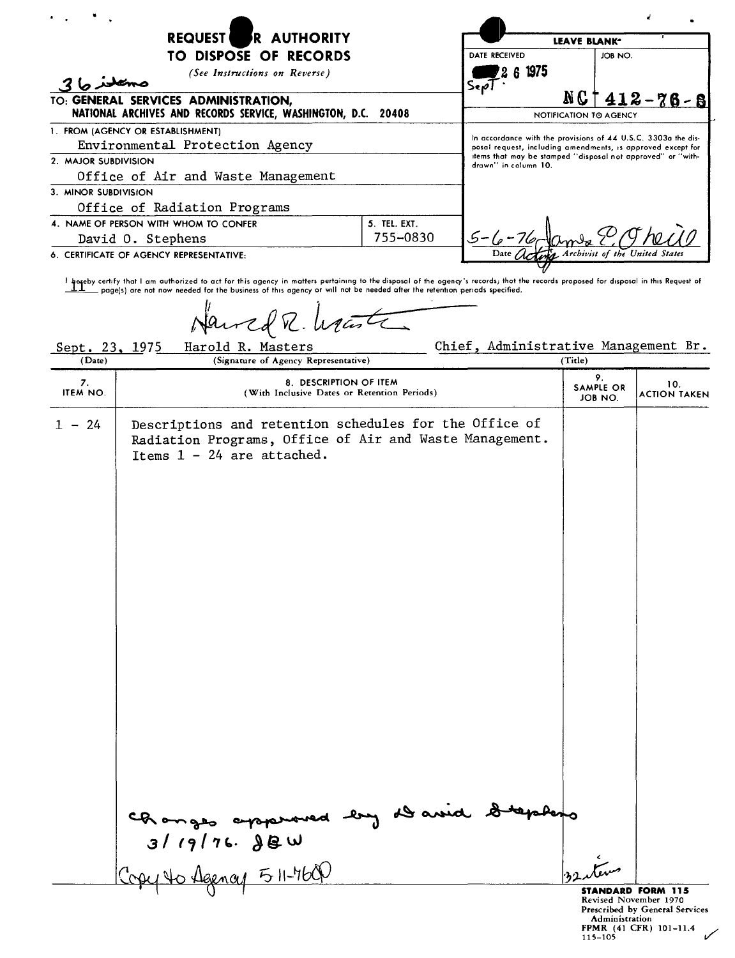|                      | R AUTHORITY<br><b>REQUEST</b>                                                                                                                                                                                                                                                                                                                                                                       |              |                                                                                                                            | LEAVE BLANK <sup>-</sup>          |                                                                                     |
|----------------------|-----------------------------------------------------------------------------------------------------------------------------------------------------------------------------------------------------------------------------------------------------------------------------------------------------------------------------------------------------------------------------------------------------|--------------|----------------------------------------------------------------------------------------------------------------------------|-----------------------------------|-------------------------------------------------------------------------------------|
|                      | TO DISPOSE OF RECORDS                                                                                                                                                                                                                                                                                                                                                                               |              | <b>DATE RECEIVED</b>                                                                                                       | JOB NO.                           |                                                                                     |
| ستعلوما 3            | (See Instructions on Reverse)                                                                                                                                                                                                                                                                                                                                                                       |              | 6 1975<br>Sex                                                                                                              |                                   |                                                                                     |
|                      | TO: GENERAL SERVICES ADMINISTRATION,<br>NATIONAL ARCHIVES AND RECORDS SERVICE, WASHINGTON, D.C. 20408                                                                                                                                                                                                                                                                                               |              |                                                                                                                            | N G<br>NOTIFICATION TO AGENCY     | $412 - 76 - 8$                                                                      |
|                      | 1. FROM (AGENCY OR ESTABLISHMENT)                                                                                                                                                                                                                                                                                                                                                                   |              | In accordance with the provisions of 44 U.S.C. 3303a the dis-                                                              |                                   |                                                                                     |
|                      | Environmental Protection Agency                                                                                                                                                                                                                                                                                                                                                                     |              | posal request, including amendments, is approved except for<br>items that may be stamped "disposal not approved" or "with- |                                   |                                                                                     |
| 2. MAJOR SUBDIVISION | Office of Air and Waste Management                                                                                                                                                                                                                                                                                                                                                                  |              | drawn" in column 10.                                                                                                       |                                   |                                                                                     |
| 3. MINOR SUBDIVISION |                                                                                                                                                                                                                                                                                                                                                                                                     |              |                                                                                                                            |                                   |                                                                                     |
|                      | Office of Radiation Programs                                                                                                                                                                                                                                                                                                                                                                        |              |                                                                                                                            |                                   |                                                                                     |
|                      | 4. NAME OF PERSON WITH WHOM TO CONFER                                                                                                                                                                                                                                                                                                                                                               | 5. TEL. EXT. |                                                                                                                            |                                   |                                                                                     |
|                      | David O. Stephens                                                                                                                                                                                                                                                                                                                                                                                   | 755-0830     |                                                                                                                            |                                   |                                                                                     |
|                      | 6. CERTIFICATE OF AGENCY REPRESENTATIVE:                                                                                                                                                                                                                                                                                                                                                            |              |                                                                                                                            |                                   |                                                                                     |
| Sept. 23, 1975       | I hereby certify that I am authorized to act for this agency in matters pertaining to the disposal of the ogency's records; thot the records proposed for disposal in this Request of the person in this Request of the busine<br>. page(s) are not now needed for the business of this agency or will not be needed after the retention periods specified.<br>Harred R. Wante<br>Harold R. Masters |              | Chief, Administrative Management Br.                                                                                       |                                   |                                                                                     |
| (Date)               | (Signature of Agency Representative)                                                                                                                                                                                                                                                                                                                                                                |              |                                                                                                                            | (Title)                           |                                                                                     |
| 7.<br>ITEM NO.       | 8. DESCRIPTION OF ITEM<br>(With Inclusive Dates or Retention Periods)                                                                                                                                                                                                                                                                                                                               |              |                                                                                                                            | 9.<br><b>SAMPLE OR</b><br>JOB NO. | 10.<br><b>ACTION TAKEN</b>                                                          |
| $1 - 24$             | Descriptions and retention schedules for the Office of<br>Radiation Programs, Office of Air and Waste Management.<br>Items $1 - 24$ are attached.<br>Changes appenanced by David<br>3119176.880                                                                                                                                                                                                     |              |                                                                                                                            |                                   |                                                                                     |
|                      |                                                                                                                                                                                                                                                                                                                                                                                                     |              |                                                                                                                            |                                   |                                                                                     |
|                      | O Agency 511-760                                                                                                                                                                                                                                                                                                                                                                                    |              |                                                                                                                            |                                   |                                                                                     |
|                      |                                                                                                                                                                                                                                                                                                                                                                                                     |              |                                                                                                                            |                                   | <b>STANDARD FORM 115</b><br>Revised November 1970<br>Prescribed by General Services |

Prescribed by General Services<br>
Administration<br>
FPMR (41 CFR) 101-11.4<br>
115-105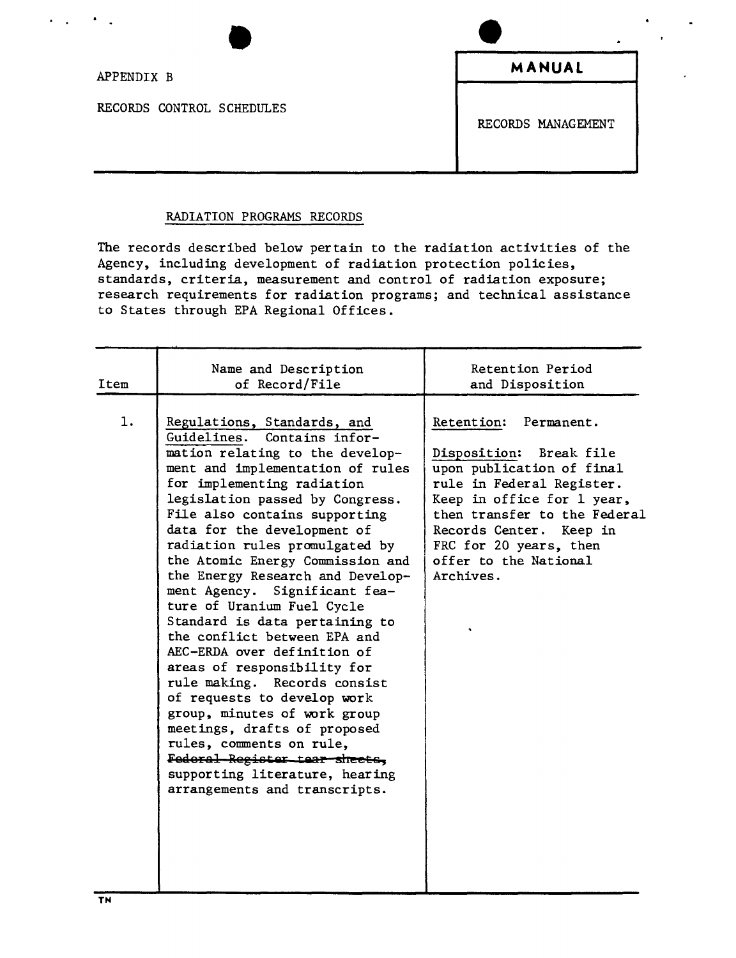APPENDIX B

RECORDS CONTROL SCHEDULES

**MANUAL**

RECORDS MANAGEMENT

## RADIATION PROGRAMS RECORDS

The records described below pertain to the radiation activities of the Agency, including development of radiation protection policies, standards, criteria, measurement and control of radiation exposure; research requirements for radiation programs; and technical assistance to States through EPA Regional Offices.

| Item | Name and Description<br>of Record/File                                                                                                                                                                                                                                                                                                                                                                                                                                                                                                                                                                                                                                                                                                                                                                                                        | Retention Period<br>and Disposition                                                                                                                                                                                                                                    |
|------|-----------------------------------------------------------------------------------------------------------------------------------------------------------------------------------------------------------------------------------------------------------------------------------------------------------------------------------------------------------------------------------------------------------------------------------------------------------------------------------------------------------------------------------------------------------------------------------------------------------------------------------------------------------------------------------------------------------------------------------------------------------------------------------------------------------------------------------------------|------------------------------------------------------------------------------------------------------------------------------------------------------------------------------------------------------------------------------------------------------------------------|
| 1.   | Regulations, Standards, and<br>Guidelines.<br>Contains infor-<br>mation relating to the develop-<br>ment and implementation of rules<br>for implementing radiation<br>legislation passed by Congress.<br>File also contains supporting<br>data for the development of<br>radiation rules promulgated by<br>the Atomic Energy Commission and<br>the Energy Research and Develop-<br>ment Agency. Significant fea-<br>ture of Uranium Fuel Cycle<br>Standard is data pertaining to<br>the conflict between EPA and<br>AEC-ERDA over definition of<br>areas of responsibility for<br>rule making. Records consist<br>of requests to develop work<br>group, minutes of work group<br>meetings, drafts of proposed<br>rules, comments on rule,<br>Federal Register tear sheets.<br>supporting literature, hearing<br>arrangements and transcripts. | Retention:<br>Permanent.<br>Disposition: Break file<br>upon publication of final<br>rule in Federal Register.<br>Keep in office for 1 year,<br>then transfer to the Federal<br>Records Center. Keep in<br>FRC for 20 years, then<br>offer to the National<br>Archives. |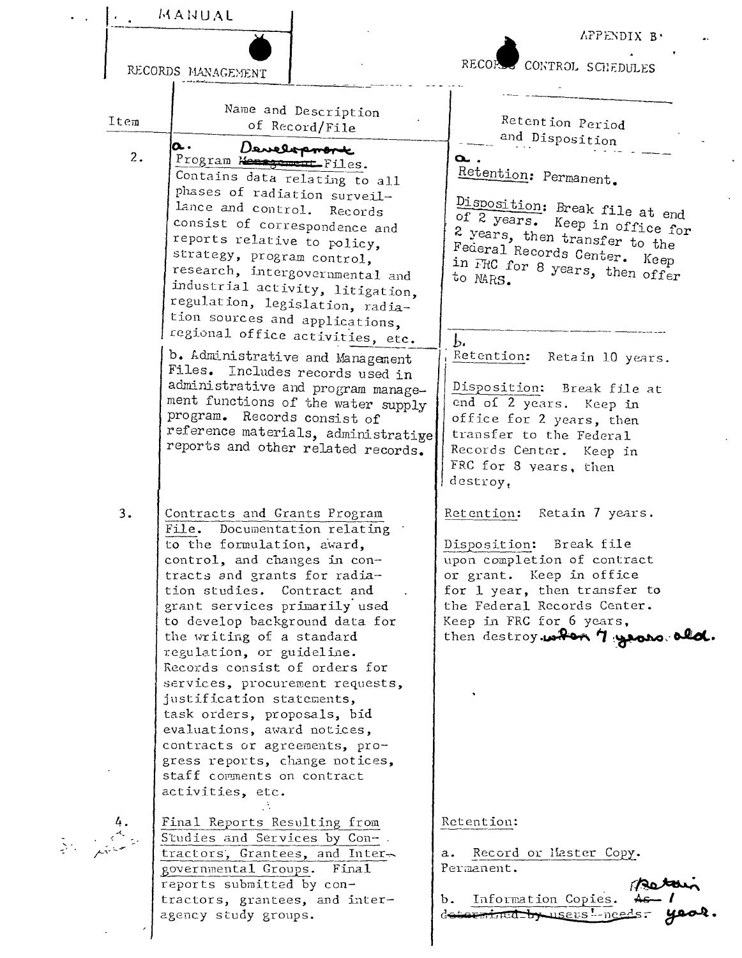MANUAL APPENDIX B. CONTROL SCHEDULES RECOR RECORDS MANAGEMENT Name and Description Retention Period Item of Record/File and Disposition α. Development  $2.$ a., Program Mensgement Files. Retention: Permanent. Contains data relating to all phases of radiation surveil-Disposition: Break file at end lance and control. Records of 2 years. Keep in office for consist of correspondence and 2 years, then transfer to the reports relative to policy, Federal Records Center. Keep strategy, program control, in FRC for 8 years, then offer research, intergovernmental and to MARS. industrial activity, litigation, regulation, legislation, radiation sources and applications, regional office activities, etc.  $\mathbf{b}$ b. Administrative and Management Retention: Retain 10 years. Files. Includes records used in administrative and program manage-Disposition: Break file at ment functions of the water supply end of 2 years. Keep in program. Records consist of office for 2 years, then reference materials, administratige transfer to the Federal reports and other related records. Records Center. Keep in FRC for 8 years, then destroy.  $3.$ Contracts and Grants Program Retention: Retain 7 years. File. Documentation relating to the formulation, award, Disposition: Break file control, and changes in conupon completion of contract tracts and grants for radiaor grant. Keep in office tion studies. Contract and for 1 year, then transfer to grant services primarily used the Federal Records Center. Keep in FRC for 6 years, to develop background data for then destroy when 7 years ald. the writing of a standard regulation, or guideline. Records consist of orders for services, procurement requests, justification statements, task orders, proposals, bid evaluations, award notices, contracts or agreements, progress reports, change notices, staff comments on contract activities, etc. Final Reports Resulting from Retention: Studies and Services by Contractors, Grantees, and Intera. Record or Haster Copy. Permanent. governmental Groups. Final reports submitted by con $b.$ tractors, grantees, and inter-Information Copies. determined by users !- needs. agency study groups.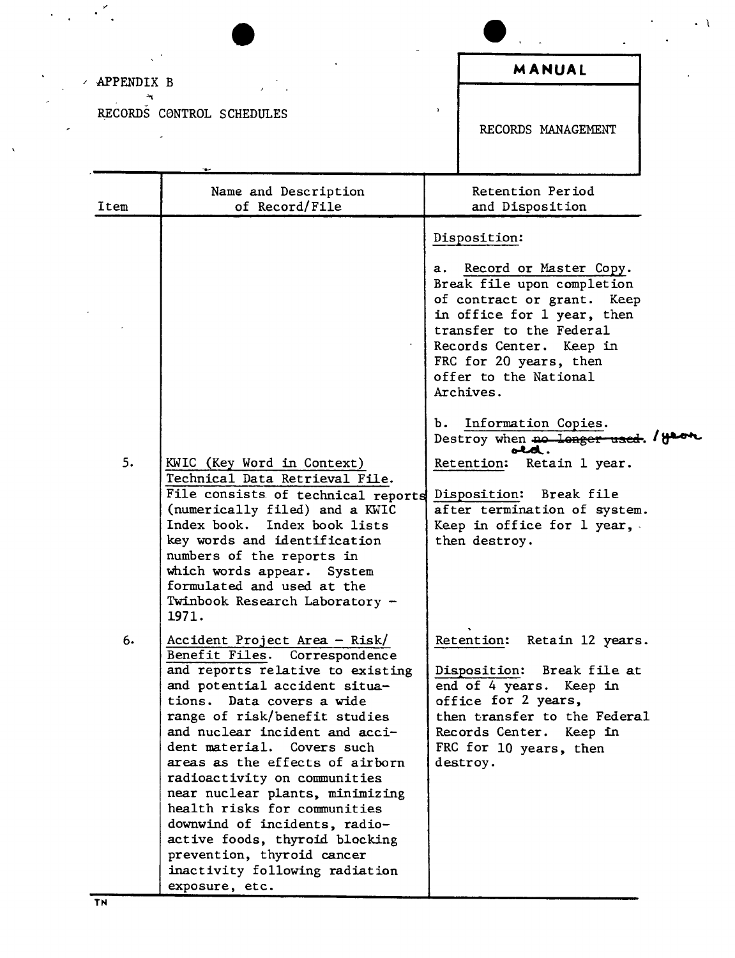| APPENDIX B |                                                                                                                                                                                                                                                                                                                                                                                                     |    | MANUAL                                                                                                                                                                                                                                                                                                                                                                                                                                                                |
|------------|-----------------------------------------------------------------------------------------------------------------------------------------------------------------------------------------------------------------------------------------------------------------------------------------------------------------------------------------------------------------------------------------------------|----|-----------------------------------------------------------------------------------------------------------------------------------------------------------------------------------------------------------------------------------------------------------------------------------------------------------------------------------------------------------------------------------------------------------------------------------------------------------------------|
|            | RECORDS CONTROL SCHEDULES                                                                                                                                                                                                                                                                                                                                                                           |    | RECORDS MANAGEMENT                                                                                                                                                                                                                                                                                                                                                                                                                                                    |
| Item       | Name and Description<br>of Record/File                                                                                                                                                                                                                                                                                                                                                              |    | Retention Period<br>and Disposition                                                                                                                                                                                                                                                                                                                                                                                                                                   |
| 5.         | KWIC (Key Word in Context)<br>Technical Data Retrieval File.<br>File consists of technical reports<br>(numerically filed) and a KWIC<br>Index book. Index book lists<br>key words and identification<br>numbers of the reports in                                                                                                                                                                   | b. | Disposition:<br>a. Record or Master Copy.<br>Break file upon completion<br>of contract or grant. Keep<br>in office for 1 year, then<br>transfer to the Federal<br>Records Center. Keep in<br>FRC for 20 years, then<br>offer to the National<br>Archives.<br>Information Copies.<br>Destroy when no longer used. 1800<br>old.<br>Retention: Retain 1 year.<br>Disposition: Break file<br>after termination of system.<br>Keep in office for 1 year,.<br>then destroy. |
| 6.         | which words appear.<br>System<br>formulated and used at the<br>Twinbook Research Laboratory -<br>1971.<br>Accident Project Area - Risk/<br>Benefit Files. Correspondence<br>and reports relative to existing<br>and potential accident situa-                                                                                                                                                       |    | Retention: Retain 12 years.<br>Disposition: Break file at<br>end of 4 years. Keep in                                                                                                                                                                                                                                                                                                                                                                                  |
|            | tions. Data covers a wide<br>range of risk/benefit studies<br>and nuclear incident and acci-<br>dent material. Covers such<br>areas as the effects of airborn<br>radioactivity on communities<br>near nuclear plants, minimizing<br>health risks for communities<br>downwind of incidents, radio-<br>active foods, thyroid blocking<br>prevention, thyroid cancer<br>inactivity following radiation |    | office for 2 years,<br>then transfer to the Federal<br>Records Center. Keep in<br>FRC for 10 years, then<br>destroy.                                                                                                                                                                                                                                                                                                                                                  |

 $\cdot$   $\cdot$ 

 $\ddot{\phantom{0}}$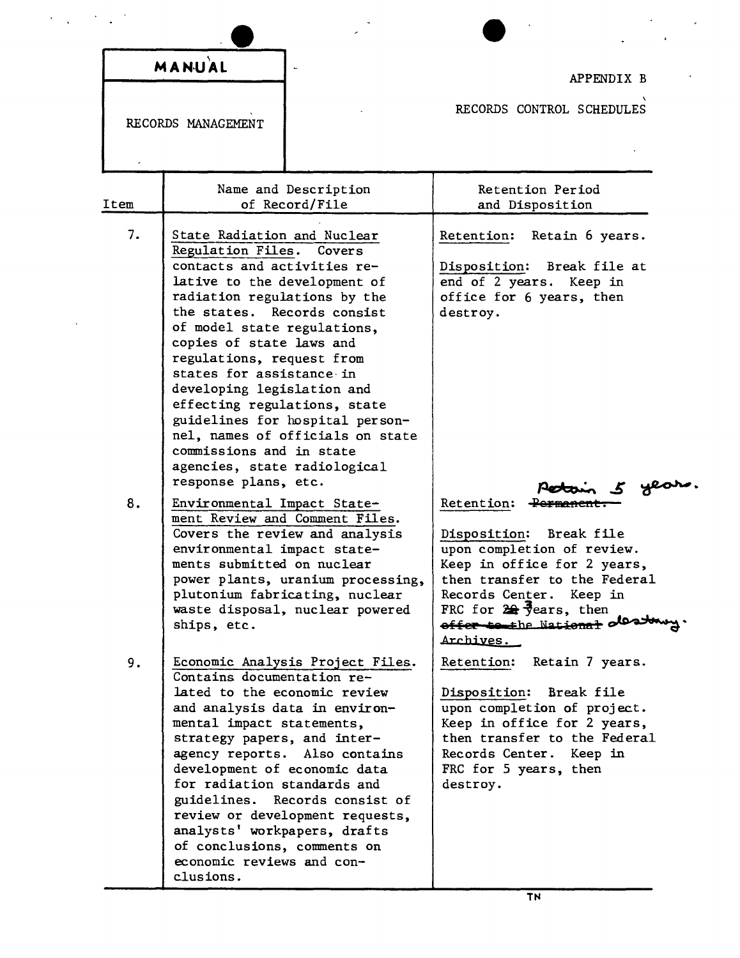|      | MANUAL                                                                                                                                                                                                                                                                                                                                                                                                                              |                                                                                                                                                                                                                                         |                                                                                                                                                                                                                                                                        |
|------|-------------------------------------------------------------------------------------------------------------------------------------------------------------------------------------------------------------------------------------------------------------------------------------------------------------------------------------------------------------------------------------------------------------------------------------|-----------------------------------------------------------------------------------------------------------------------------------------------------------------------------------------------------------------------------------------|------------------------------------------------------------------------------------------------------------------------------------------------------------------------------------------------------------------------------------------------------------------------|
|      | RECORDS MANAGEMENT                                                                                                                                                                                                                                                                                                                                                                                                                  |                                                                                                                                                                                                                                         | APPENDIX B<br>RECORDS CONTROL SCHEDULES                                                                                                                                                                                                                                |
|      |                                                                                                                                                                                                                                                                                                                                                                                                                                     |                                                                                                                                                                                                                                         |                                                                                                                                                                                                                                                                        |
| Item |                                                                                                                                                                                                                                                                                                                                                                                                                                     | Name and Description<br>of Record/File                                                                                                                                                                                                  | Retention Period<br>and Disposition                                                                                                                                                                                                                                    |
| 7.   | State Radiation and Nuclear<br>Regulation Files. Covers<br>contacts and activities re-<br>lative to the development of<br>radiation regulations by the<br>the states. Records consist<br>of model state regulations,<br>copies of state laws and<br>regulations, request from<br>states for assistance in<br>developing legislation and<br>effecting regulations, state<br>commissions and in state<br>agencies, state radiological | guidelines for hospital person-<br>nel, names of officials on state                                                                                                                                                                     | Retention: Retain 6 years.<br>Disposition: Break file at<br>end of 2 years. Keep in<br>office for 6 years, then<br>destroy.                                                                                                                                            |
| 8.   | response plans, etc.<br>Environmental Impact State-<br>environmental impact state-<br>ments submitted on nuclear<br>ships, etc.                                                                                                                                                                                                                                                                                                     | ment Review and Comment Files.<br>Covers the review and analysis<br>power plants, uranium processing,<br>plutonium fabricating, nuclear<br>waste disposal, nuclear powered                                                              | year<br>Retention: Permanent<br>Disposition: Break file<br>upon completion of review.<br>Keep in office for 2 years,<br>then transfer to the Federal<br>Records Center. Keep in<br>FRC for $24\frac{1}{2}$ ears, then<br>offer to the National olds towy.<br>Archives. |
| 9.   | Contains documentation re-<br>mental impact statements,<br>strategy papers, and inter-<br>for radiation standards and<br>analysts' workpapers, drafts<br>of conclusions, comments on<br>economic reviews and con-<br>clusions.                                                                                                                                                                                                      | Economic Analysis Project Files.<br>lated to the economic review<br>and analysis data in environ-<br>agency reports. Also contains<br>development of economic data<br>guidelines. Records consist of<br>review or development requests, | Retention:<br>Retain 7 years.<br>Disposition: Break file<br>upon completion of project.<br>Keep in office for 2 years,<br>then transfer to the Federal<br>Records Center. Keep in<br>FRC for 5 years, then<br>destroy.                                                 |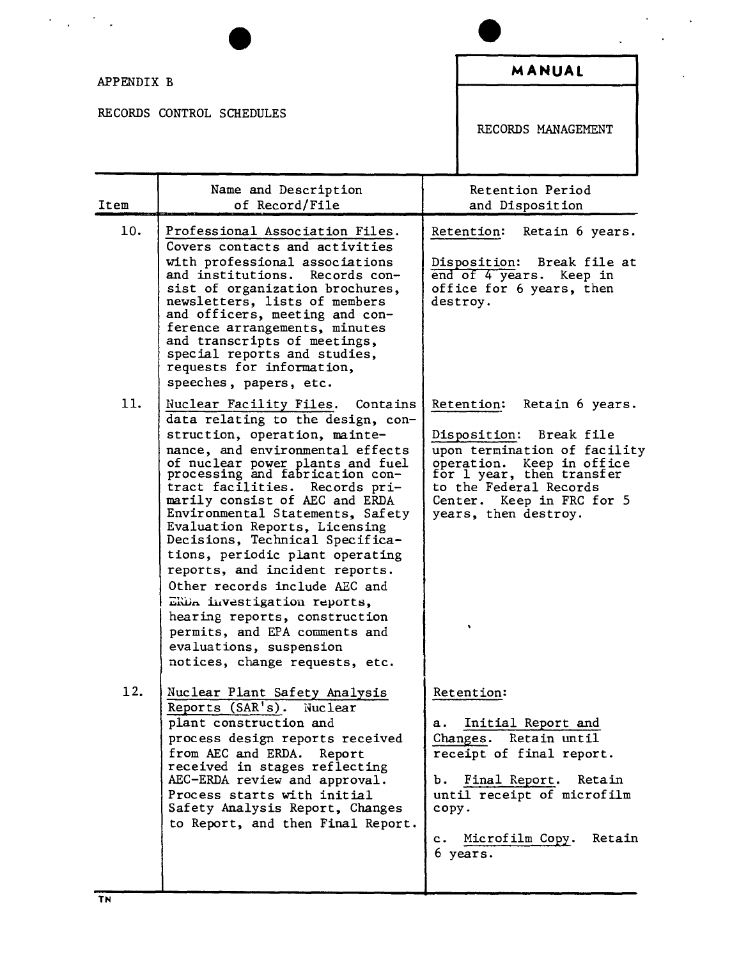| APPENDIX B |                                                                                                                                                                                                                                                                                                                                                                                                                                                                                                                                                                                                                                                                   |                   | MANUAL                                                                                                                                                                                                                         |
|------------|-------------------------------------------------------------------------------------------------------------------------------------------------------------------------------------------------------------------------------------------------------------------------------------------------------------------------------------------------------------------------------------------------------------------------------------------------------------------------------------------------------------------------------------------------------------------------------------------------------------------------------------------------------------------|-------------------|--------------------------------------------------------------------------------------------------------------------------------------------------------------------------------------------------------------------------------|
|            | RECORDS CONTROL SCHEDULES                                                                                                                                                                                                                                                                                                                                                                                                                                                                                                                                                                                                                                         |                   | RECORDS MANAGEMENT                                                                                                                                                                                                             |
| Item       | Name and Description<br>of Record/File                                                                                                                                                                                                                                                                                                                                                                                                                                                                                                                                                                                                                            |                   | Retention Period<br>and Disposition                                                                                                                                                                                            |
| 10.        | Professional Association Files.<br>Covers contacts and activities<br>with professional associations<br>and institutions. Records con-<br>sist of organization brochures.<br>newsletters, lists of members<br>and officers, meeting and con-<br>ference arrangements, minutes<br>and transcripts of meetings,<br>special reports and studies,<br>requests for information,<br>speeches, papers, etc.                                                                                                                                                                                                                                                               |                   | Retain 6 years.<br>Retention:<br>Disposition: Break file at<br>end of 4 years. Keep in<br>office for 6 years, then<br>destroy.                                                                                                 |
| 11.        | Nuclear Facility Files. Contains<br>data relating to the design, con-<br>struction, operation, mainte-<br>nance, and environmental effects<br>of nuclear power plants and fuel<br>processing and fabrication con-<br>tract facilities. Records pri-<br>marily consist of AEC and ERDA<br>Environmental Statements, Safety<br>Evaluation Reports, Licensing<br>Decisions, Technical Specifica-<br>tions, periodic plant operating<br>reports, and incident reports.<br>Other records include AEC and<br>ERDA investigation reports,<br>hearing reports, construction<br>permits, and EPA comments and<br>evaluations, suspension<br>notices, change requests, etc. |                   | Retention: Retain 6 years.<br>Disposition: Break file<br>upon termination of facility<br>operation. Keep in office<br>for 1 year, then transfer<br>to the Federal Records<br>Center. Keep in FRC for 5<br>years, then destroy. |
| 12.        | Nuclear Plant Safety Analysis<br>Reports (SAR's). Nuclear<br>plant construction and<br>process design reports received<br>from AEC and ERDA. Report<br>received in stages reflecting<br>AEC-ERDA review and approval.<br>Process starts with initial<br>Safety Analysis Report, Changes<br>to Report, and then Final Report.                                                                                                                                                                                                                                                                                                                                      | а.<br>copy.<br>c. | Retention:<br>Initial Report and<br>Changes. Retain until<br>receipt of final report.<br>b. Final Report. Retain<br>until receipt of microfilm<br>Microfilm Copy.<br>Retain<br>6 years.                                        |

 $\ddot{\phantom{0}}$ 

 $\overline{a}$ 

Ť.  $\hat{\boldsymbol{\cdot}$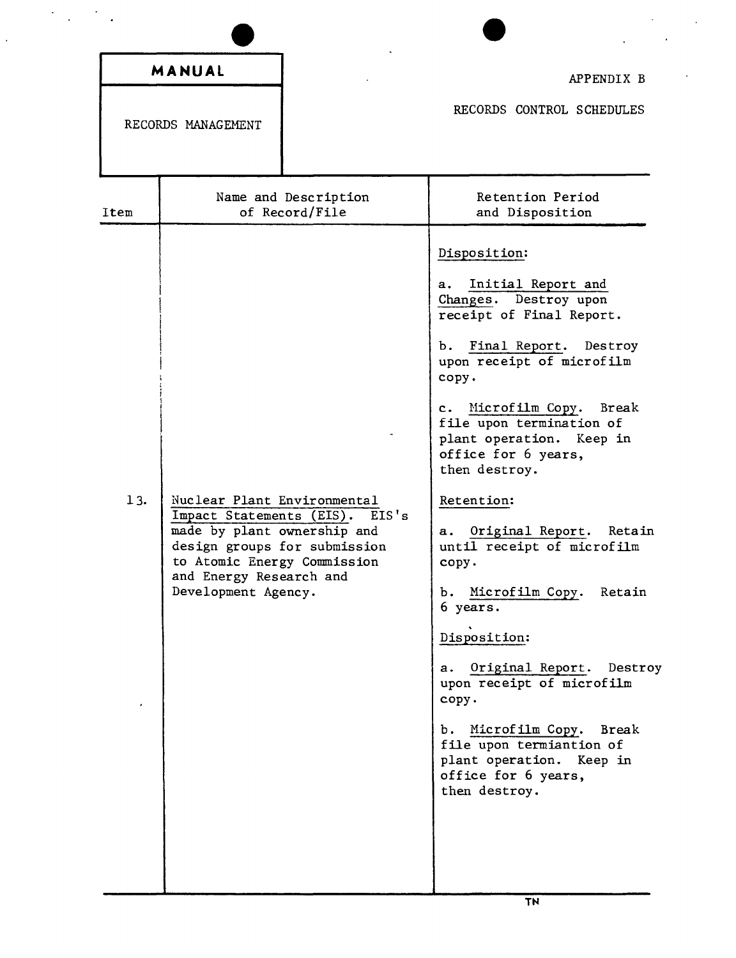|      | MANUAL<br>RECORDS MANAGEMENT                                                                                                                                                                                     | APPENDIX B<br>RECORDS CONTROL SCHEDULES                                                                                                                                                                                                                                                                                                                                                                                                                                                                                                                                                                                                        |
|------|------------------------------------------------------------------------------------------------------------------------------------------------------------------------------------------------------------------|------------------------------------------------------------------------------------------------------------------------------------------------------------------------------------------------------------------------------------------------------------------------------------------------------------------------------------------------------------------------------------------------------------------------------------------------------------------------------------------------------------------------------------------------------------------------------------------------------------------------------------------------|
| Item | Name and Description<br>of Record/File                                                                                                                                                                           | Retention Period<br>and Disposition                                                                                                                                                                                                                                                                                                                                                                                                                                                                                                                                                                                                            |
| 13.  | Nuclear Plant Environmental<br>Impact Statements (EIS).<br>EIS's<br>made by plant ownership and<br>design groups for submission<br>to Atomic Energy Commission<br>and Energy Research and<br>Development Agency. | Disposition:<br>Initial Report and<br>a.<br>Changes. Destroy upon<br>receipt of Final Report.<br>b. Final Report. Destroy<br>upon receipt of microfilm<br>copy.<br>c. Microfilm Copy. Break<br>file upon termination of<br>plant operation. Keep in<br>office for 6 years,<br>then destroy.<br>Retention:<br>Original Report.<br>Retain<br>а.<br>until receipt of microfilm<br>copy.<br>b. Microfilm Copy. Retain<br>6 years.<br>Disposition:<br>a. Original Report. Destroy<br>upon receipt of microfilm<br>copy.<br>b. Microfilm Copy. Break<br>file upon termiantion of<br>plant operation. Keep in<br>office for 6 years,<br>then destroy. |

l,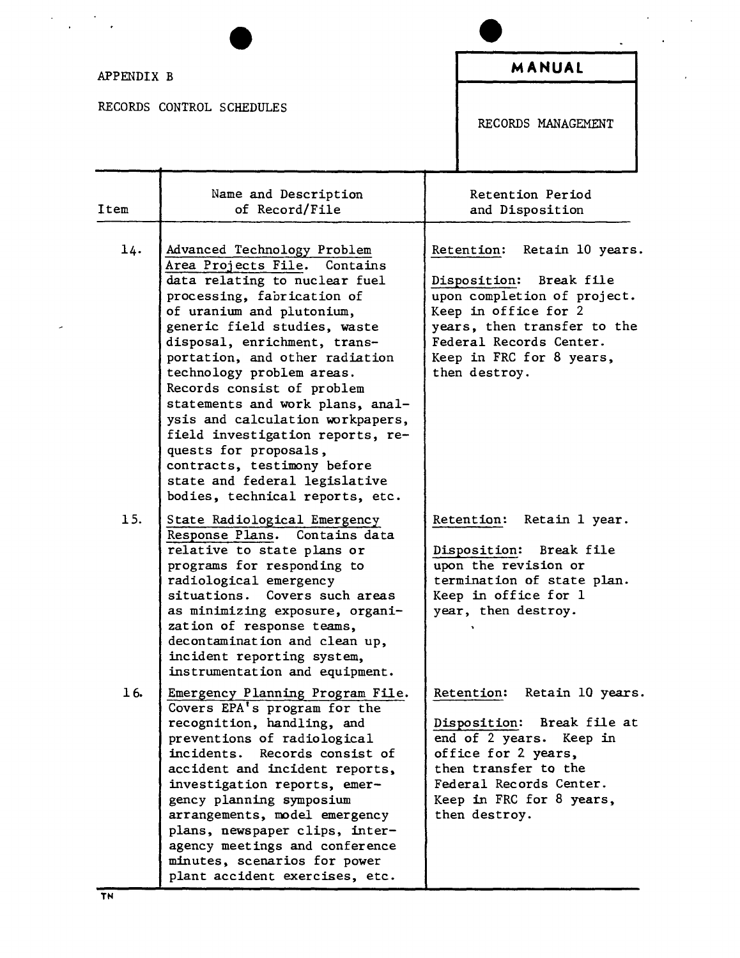$\label{eq:2} \frac{1}{\sqrt{2}}\left(\frac{1}{\sqrt{2}}\right)^{2} \left(\frac{1}{\sqrt{2}}\right)^{2} \left(\frac{1}{\sqrt{2}}\right)^{2}$ 

 $\overline{\phantom{a}}$ 

RECORDS CONTROL SCHEDULES

 $\mathcal{L}^{\text{max}}$ 

 $\ddot{\phantom{0}}$ 

 $\sim$ 

RECORDS MANAGEMENT

| Item | Name and Description<br>of Record/File                                                                                                                                                                                                                                                                                                                                                                                                                                                                                                                       | Retention Period<br>and Disposition                                                                                                                                                                                     |
|------|--------------------------------------------------------------------------------------------------------------------------------------------------------------------------------------------------------------------------------------------------------------------------------------------------------------------------------------------------------------------------------------------------------------------------------------------------------------------------------------------------------------------------------------------------------------|-------------------------------------------------------------------------------------------------------------------------------------------------------------------------------------------------------------------------|
| 14.  | Advanced Technology Problem<br>Area Projects File. Contains<br>data relating to nuclear fuel<br>processing, fabrication of<br>of uranium and plutonium,<br>generic field studies, waste<br>disposal, enrichment, trans-<br>portation, and other radiation<br>technology problem areas.<br>Records consist of problem<br>statements and work plans, anal-<br>ysis and calculation workpapers,<br>field investigation reports, re-<br>quests for proposals,<br>contracts, testimony before<br>state and federal legislative<br>bodies, technical reports, etc. | Retain 10 years.<br>Retention:<br>Disposition: Break file<br>upon completion of project.<br>Keep in office for 2<br>years, then transfer to the<br>Federal Records Center.<br>Keep in FRC for 8 years,<br>then destroy. |
| 15.  | State Radiological Emergency<br>Response Plans. Contains data<br>relative to state plans or<br>programs for responding to<br>radiological emergency<br>situations. Covers such areas<br>as minimizing exposure, organi-<br>zation of response teams,<br>decontamination and clean up,<br>incident reporting system,<br>instrumentation and equipment.                                                                                                                                                                                                        | Retention: Retain 1 year.<br>Disposition: Break file<br>upon the revision or<br>termination of state plan.<br>Keep in office for 1<br>year, then destroy.                                                               |
| 16.  | Emergency Planning Program File.<br>Covers EPA's program for the<br>recognition, handling, and<br>preventions of radiological<br>incidents.<br>Records consist of<br>accident and incident reports,<br>investigation reports, emer-<br>gency planning symposium<br>arrangements, model emergency<br>plans, newspaper clips, inter-<br>agency meetings and conference<br>minutes, scenarios for power<br>plant accident exercises, etc.                                                                                                                       | Retain 10 years.<br>Retention:<br>Break file at<br>Disposition:<br>end of 2 years. Keep in<br>office for 2 years,<br>then transfer to the<br>Federal Records Center.<br>Keep in FRC for 8 years,<br>then destroy.       |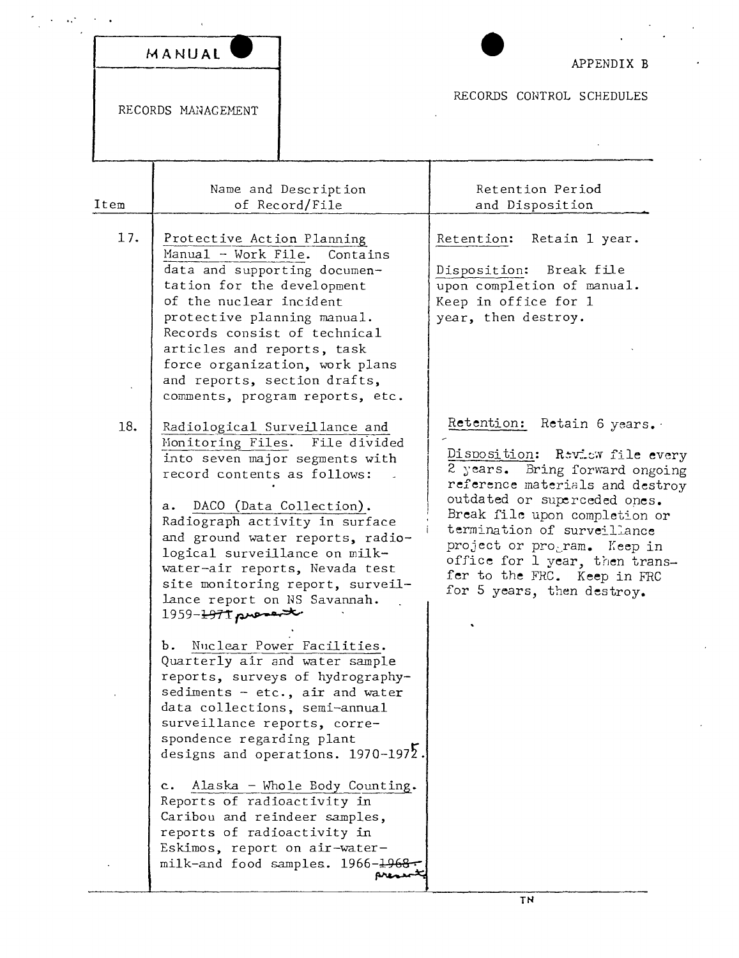| MANUAL |  |
|--------|--|

 $\epsilon$  $\sim$ 

 $\mathcal{L}_{\bullet}$ 

RECORDS MANAGEMENT

APPENDIX B

RECORDS CONTROL SCHEDULES

| Item | Name and Description<br>of Record/File                                                                                                                                                                                                                                                                                                                                                                                                                                                                                                                                                                                                                                                                                                                                                                                                        | Retention Period<br>and Disposition                                                                                                                                                                                                                                                                                                                             |
|------|-----------------------------------------------------------------------------------------------------------------------------------------------------------------------------------------------------------------------------------------------------------------------------------------------------------------------------------------------------------------------------------------------------------------------------------------------------------------------------------------------------------------------------------------------------------------------------------------------------------------------------------------------------------------------------------------------------------------------------------------------------------------------------------------------------------------------------------------------|-----------------------------------------------------------------------------------------------------------------------------------------------------------------------------------------------------------------------------------------------------------------------------------------------------------------------------------------------------------------|
| 17.  | Protective Action Planning<br>Manual - Work File.<br>Contains<br>data and supporting documen-<br>tation for the development<br>of the nuclear incident<br>protective planning manual.<br>Records consist of technical<br>articles and reports, task<br>force organization, work plans<br>and reports, section drafts,<br>comments, program reports, etc.                                                                                                                                                                                                                                                                                                                                                                                                                                                                                      | Retention: Retain 1 year.<br>Disposition: Break file<br>upon completion of manual.<br>Keep in office for 1<br>year, then destroy.                                                                                                                                                                                                                               |
| 18.  | Radiological Surveillance and<br>Monitoring Files. File divided<br>into seven major segments with<br>record contents as follows:<br>DACO (Data Collection).<br>а.<br>Radiograph activity in surface<br>and ground water reports, radio-<br>logical surveillance on milk-<br>water-air reports, Nevada test<br>site monitoring report, surveil-<br>lance report on NS Savannah.<br>$1959 - 1971$ procent<br>Nuclear Power Facilities.<br>Ъ.<br>Quarterly air and water sample<br>reports, surveys of hydrography-<br>sediments - $etc.,$ air and water<br>data collections, semi-annual<br>surveillance reports, corre-<br>spondence regarding plant<br>designs and operations. $1970-1972$ .<br>Alaska - Whole Body Counting.<br>$c_{\bullet}$<br>Reports of radioactivity in<br>Caribou and reindeer samples,<br>reports of radioactivity in | Retention: Retain 6 years.<br>Disposition: Review file every<br>2 years. Bring forward ongoing<br>reference materials and destroy<br>outdated or superceded ones.<br>Break file upon completion or<br>termination of surveillance<br>project or program. Keep in<br>office for 1 year, then trans-<br>fer to the FRC. Keep in FRC<br>for 5 years, then destroy. |
|      | Eskimos, report on air-water-<br>milk-and food samples. 1966-1968-                                                                                                                                                                                                                                                                                                                                                                                                                                                                                                                                                                                                                                                                                                                                                                            |                                                                                                                                                                                                                                                                                                                                                                 |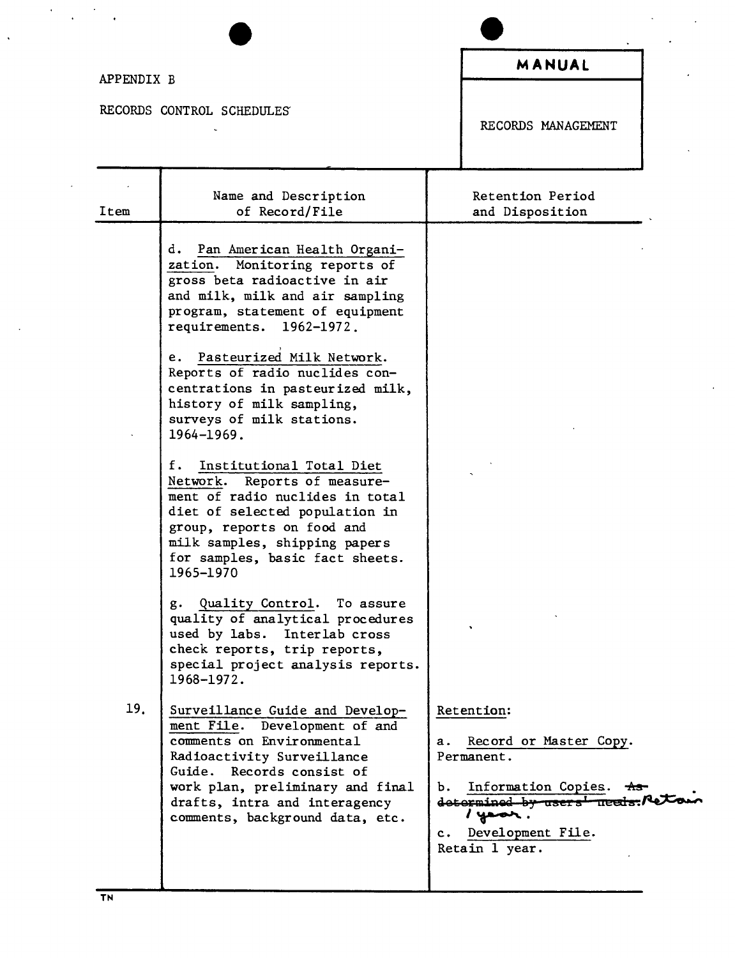## APPENDIX B

 $\ddot{\phantom{0}}$ 

 $\mathcal{A}=\frac{1}{2} \mathcal{A}^2$  .

 $\ddot{\phantom{1}}$ 

RECORDS CONTROL SCHEDULES'

 $\ddot{\phantom{a}}$ 

 $\overline{a}$ 

RECORDS MANAGEMENT

| Item | Name and Description<br>of Record/File                                                                                                                                                                                                                                                                                                                                                 | Retention Period<br>and Disposition                                                                                                                                                                         |
|------|----------------------------------------------------------------------------------------------------------------------------------------------------------------------------------------------------------------------------------------------------------------------------------------------------------------------------------------------------------------------------------------|-------------------------------------------------------------------------------------------------------------------------------------------------------------------------------------------------------------|
|      | d.<br>Pan American Health Organi-<br>zation. Monitoring reports of<br>gross beta radioactive in air<br>and milk, milk and air sampling<br>program, statement of equipment<br>requirements. 1962-1972.<br>Pasteurized Milk Network.<br>e.<br>Reports of radio nuclides con-<br>centrations in pasteurized milk,<br>history of milk sampling,<br>surveys of milk stations.<br>1964-1969. |                                                                                                                                                                                                             |
|      | Institutional Total Diet<br>f.<br>Network. Reports of measure-<br>ment of radio nuclides in total<br>diet of selected population in<br>group, reports on food and<br>milk samples, shipping papers<br>for samples, basic fact sheets.<br>1965-1970                                                                                                                                     |                                                                                                                                                                                                             |
|      | g. Quality Control. To assure<br>quality of analytical procedures<br>used by labs. Interlab cross<br>check reports, trip reports,<br>special project analysis reports.<br>1968-1972.                                                                                                                                                                                                   |                                                                                                                                                                                                             |
| 19.  | Surveillance Guide and Develop-<br>ment File. Development of and<br>comments on Environmental<br>Radioactivity Surveillance<br>Guide. Records consist of<br>work plan, preliminary and final<br>drafts, intra and interagency<br>comments, background data, etc.                                                                                                                       | Retention:<br>Record or Master Copy.<br>а.<br>Permanent.<br>Information Copies. ***<br>ъ.<br>$determined$ by users $l$ needs. $R$ e $\top$<br>s year.<br>Development File.<br>$c_{\star}$<br>Retain 1 year. |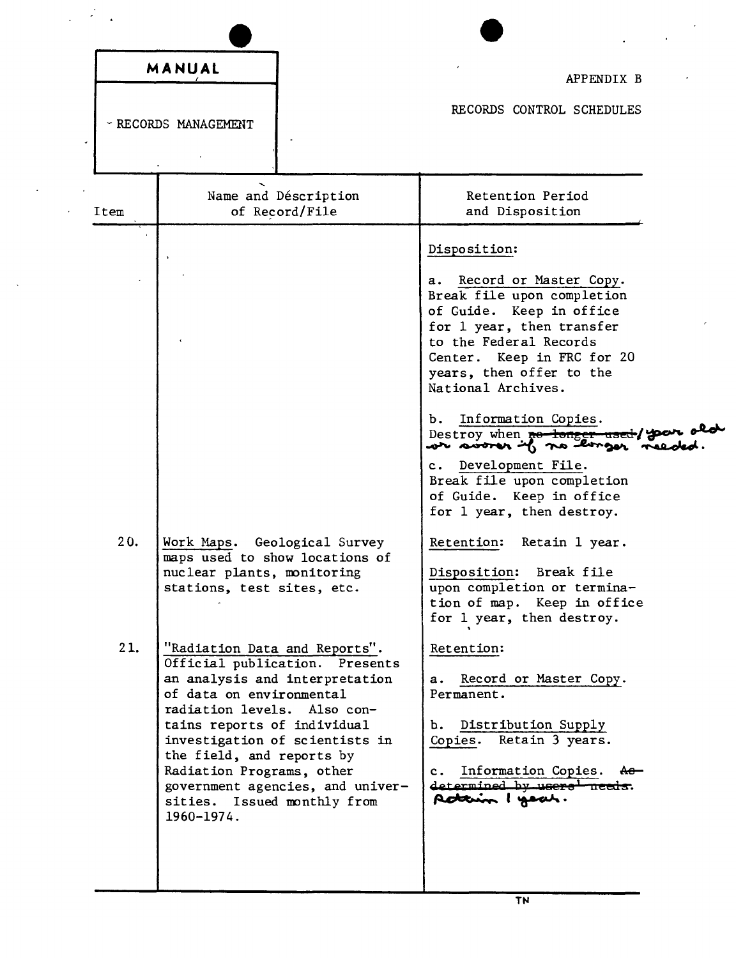| RECORDS CONTROL SCHEDULES<br>- RECORDS MANAGEMENT<br>Name and Déscription<br>Retention Period<br>of Record/File<br>and Disposition<br>Disposition:<br>Record or Master Copy.<br>а.<br>Break file upon completion<br>of Guide. Keep in office<br>for 1 year, then transfer<br>to the Federal Records<br>Center. Keep in FRC for 20<br>years, then offer to the<br>National Archives.<br>Information Copies.<br>Ъ.<br>Destroy when no tonger used/y<br>c. Development File.<br>Break file upon completion<br>of Guide. Keep in office<br>for 1 year, then destroy.<br>20.<br>Work Maps. Geological Survey<br>Retention:<br>Retain 1 year.<br>maps used to show locations of<br>nuclear plants, monitoring<br>Disposition:<br>Break file<br>upon completion or termina-<br>stations, test sites, etc.<br>tion of map. Keep in office<br>for 1 year, then destroy.<br>21.<br>"Radiation Data and Reports".<br>Retention:<br>Official publication. Presents<br>an analysis and interpretation<br>a. Record or Master Copy.<br>of data on environmental<br>Permanent.<br>radiation levels. Also con-<br>b. Distribution Supply<br>tains reports of individual<br>Retain 3 years.<br>investigation of scientists in<br>Copies.<br>the field, and reports by<br>Radiation Programs, other<br>Information Copies. Ao-<br>$c \cdot$<br>determined by users needs.<br>government agencies, and univer- | MANUAL | APPENDIX B      |
|---------------------------------------------------------------------------------------------------------------------------------------------------------------------------------------------------------------------------------------------------------------------------------------------------------------------------------------------------------------------------------------------------------------------------------------------------------------------------------------------------------------------------------------------------------------------------------------------------------------------------------------------------------------------------------------------------------------------------------------------------------------------------------------------------------------------------------------------------------------------------------------------------------------------------------------------------------------------------------------------------------------------------------------------------------------------------------------------------------------------------------------------------------------------------------------------------------------------------------------------------------------------------------------------------------------------------------------------------------------------------------------------|--------|-----------------|
| Item                                                                                                                                                                                                                                                                                                                                                                                                                                                                                                                                                                                                                                                                                                                                                                                                                                                                                                                                                                                                                                                                                                                                                                                                                                                                                                                                                                                        |        |                 |
|                                                                                                                                                                                                                                                                                                                                                                                                                                                                                                                                                                                                                                                                                                                                                                                                                                                                                                                                                                                                                                                                                                                                                                                                                                                                                                                                                                                             |        |                 |
|                                                                                                                                                                                                                                                                                                                                                                                                                                                                                                                                                                                                                                                                                                                                                                                                                                                                                                                                                                                                                                                                                                                                                                                                                                                                                                                                                                                             |        |                 |
| sities. Issued monthly from                                                                                                                                                                                                                                                                                                                                                                                                                                                                                                                                                                                                                                                                                                                                                                                                                                                                                                                                                                                                                                                                                                                                                                                                                                                                                                                                                                 |        | Acterin I your. |